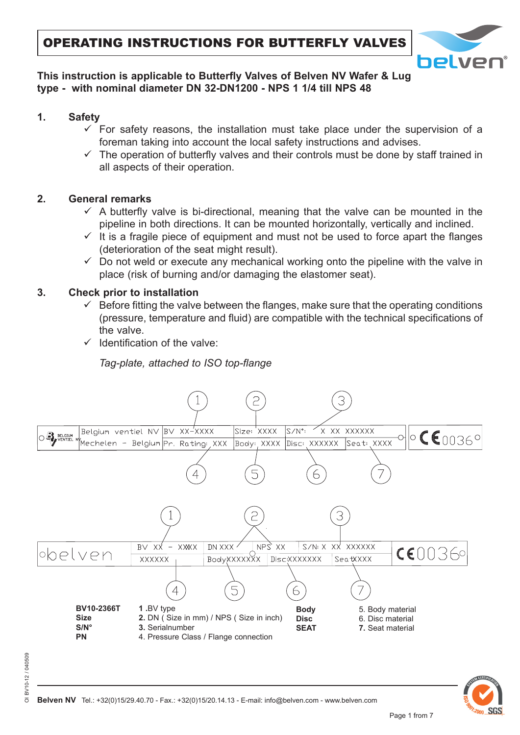

# **This instruction is applicable to Butterfly Valves of Belven NV Wafer & Lug type - with nominal diameter DN 32-DN1200 - NPS 1 1/4 till NPS 48**

- **1. Safety**
	- $\checkmark$  For safety reasons, the installation must take place under the supervision of a foreman taking into account the local safety instructions and advises.
	- $\checkmark$  The operation of butterfly valves and their controls must be done by staff trained in all aspects of their operation.

# **2. General remarks**

- $\checkmark$  A butterfly valve is bi-directional, meaning that the valve can be mounted in the pipeline in both directions. It can be mounted horizontally, vertically and inclined.
- $\checkmark$  It is a fragile piece of equipment and must not be used to force apart the flanges (deterioration of the seat might result).
- $\checkmark$  Do not weld or execute any mechanical working onto the pipeline with the valve in place (risk of burning and/or damaging the elastomer seat).

#### **3. Check prior to installation**

- $\checkmark$  Before fitting the valve between the flanges, make sure that the operating conditions (pressure, temperature and fluid) are compatible with the technical specifications of the valve.
- $\checkmark$  Identification of the valve:

*Tag-plate, attached to ISO top-flange*



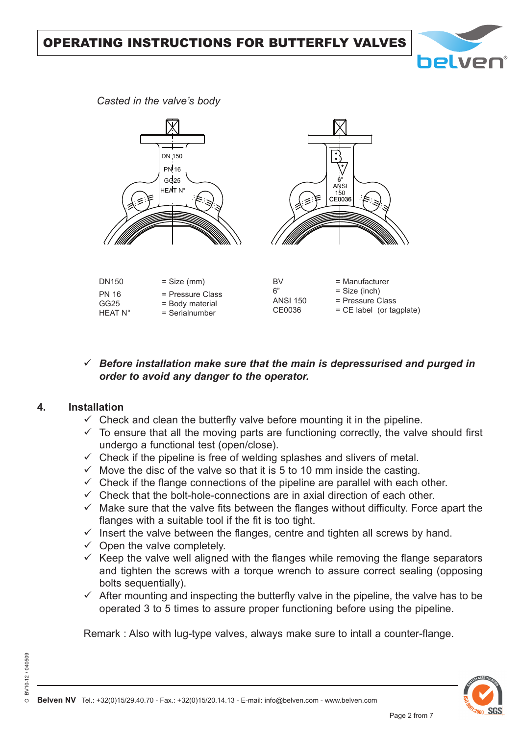

*Casted in the valve's body*



# $\checkmark$  Before installation make sure that the main is depressurised and purged in *order to avoid any danger to the operator.*

#### **4. Installation**

- $\checkmark$  Check and clean the butterfly valve before mounting it in the pipeline.
- $\checkmark$  To ensure that all the moving parts are functioning correctly, the valve should first undergo a functional test (open/close).
- $\checkmark$  Check if the pipeline is free of welding splashes and slivers of metal.
- $\checkmark$  Move the disc of the valve so that it is 5 to 10 mm inside the casting.
- $\checkmark$  Check if the flange connections of the pipeline are parallel with each other.
- $\checkmark$  Check that the bolt-hole-connections are in axial direction of each other.
- $\checkmark$  Make sure that the valve fits between the flanges without difficulty. Force apart the flanges with a suitable tool if the fit is too tight.
- $\checkmark$  Insert the valve between the flanges, centre and tighten all screws by hand.
- $\checkmark$  Open the valve completely.
- $\checkmark$  Keep the valve well aligned with the flanges while removing the flange separators and tighten the screws with a torque wrench to assure correct sealing (opposing bolts sequentially).
- $\checkmark$  After mounting and inspecting the butterfly valve in the pipeline, the valve has to be operated 3 to 5 times to assure proper functioning before using the pipeline.

Remark : Also with lug-type valves, always make sure to intall a counter-flange.

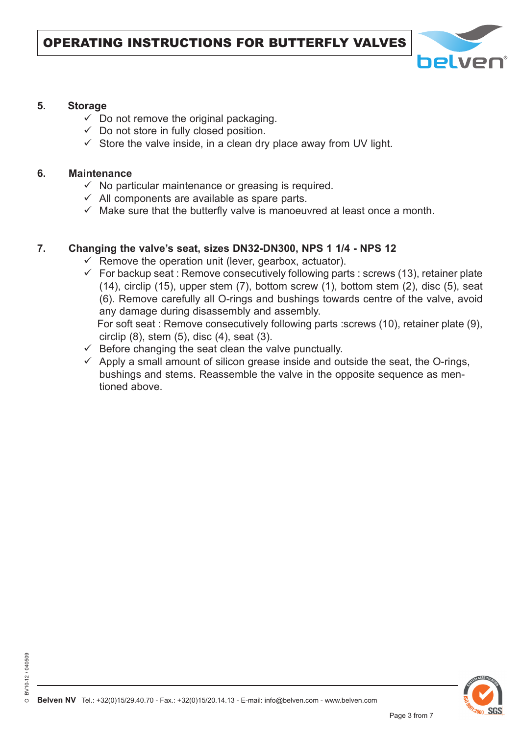

#### **5. Storage**

- $\checkmark$  Do not remove the original packaging.
- $\checkmark$  Do not store in fully closed position.
- $\checkmark$  Store the valve inside, in a clean dry place away from UV light.

#### **6. Maintenance**

OI BV10-12 / 040509

 $\overline{\circ}$ 

BV10-12 / 040509

- $\checkmark$  No particular maintenance or greasing is required.
- $\checkmark$  All components are available as spare parts.
- $\checkmark$  Make sure that the butterfly valve is manoeuvred at least once a month.

# **7. Changing the valve's seat, sizes DN32-DN300, NPS 1 1/4 - NPS 12**

- $\checkmark$  Remove the operation unit (lever, gearbox, actuator).
- $\checkmark$  For backup seat : Remove consecutively following parts : screws (13), retainer plate (14), circlip (15), upper stem (7), bottom screw (1), bottom stem (2), disc (5), seat (6). Remove carefully all O-rings and bushings towards centre of the valve, avoid any damage during disassembly and assembly. For soft seat : Remove consecutively following parts :screws (10), retainer plate (9), circlip (8), stem (5), disc (4), seat (3).
- $\checkmark$  Before changing the seat clean the valve punctually.
- $\checkmark$  Apply a small amount of silicon grease inside and outside the seat, the O-rings, bushings and stems. Reassemble the valve in the opposite sequence as mentioned above.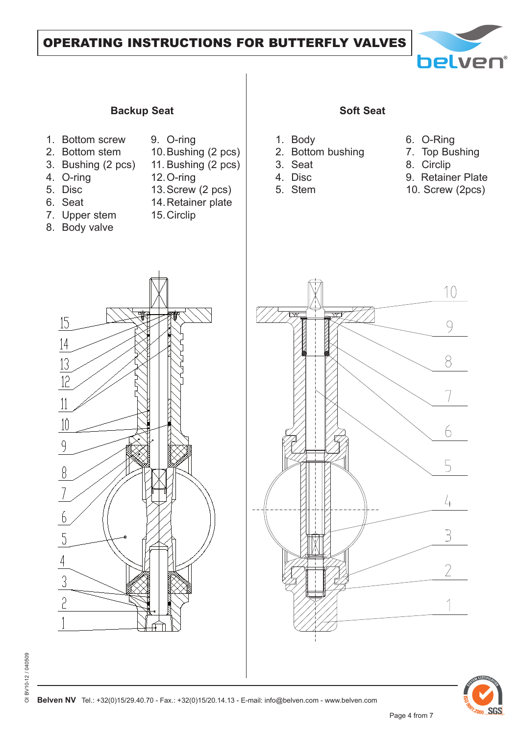# OPERATING INSTRUCTIONS FOR BUTTERFLY VALVES



#### **Backup Seat Soft Seat Soft Seat**

- 1. Bottom screw
- 2. Bottom stem
- 3. Bushing (2 pcs)
- 4. O-ring 5. Disc

6. Seat

11. Bushing (2 pcs) 12. O-ring

9. O-ring

13. Screw (2 pcs)

10. Bushing (2 pcs)

- 14. Retainer plate
- 15. Circlip
- 7. Upper stem 8. Body valve

- 1. Body
- 2. Bottom bushing
- 3. Seat
- 4. Disc
- 5. Stem
- 6. O-Ring
- 7. Top Bushing
	- 8. Circlip
- 9. Retainer Plate
- 10. Screw (2pcs)







**SGS**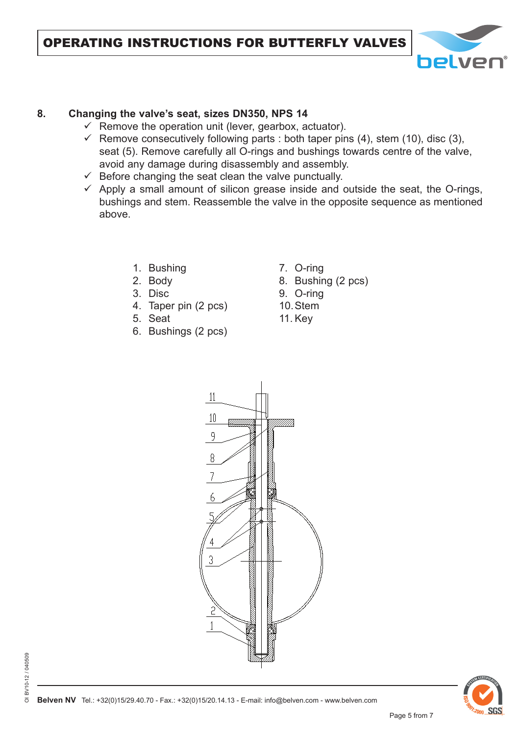

# **8. Changing the valve's seat, sizes DN350, NPS 14**

- $\checkmark$  Remove the operation unit (lever, gearbox, actuator).
- Remove consecutively following parts : both taper pins  $(4)$ , stem  $(10)$ , disc  $(3)$ , seat (5). Remove carefully all O-rings and bushings towards centre of the valve, avoid any damage during disassembly and assembly.
- $\checkmark$  Before changing the seat clean the valve punctually.
- $\checkmark$  Apply a small amount of silicon grease inside and outside the seat, the O-rings, bushings and stem. Reassemble the valve in the opposite sequence as mentioned above.
	- 1. Bushing
	- 2. Body
	- 3. Disc
	- 4. Taper pin (2 pcs)
	- 5. Seat
	- 6. Bushings (2 pcs)
- 7. O-ring
- 8. Bushing (2 pcs)
- 9. O-ring
- 10. Stem
- 11. Key



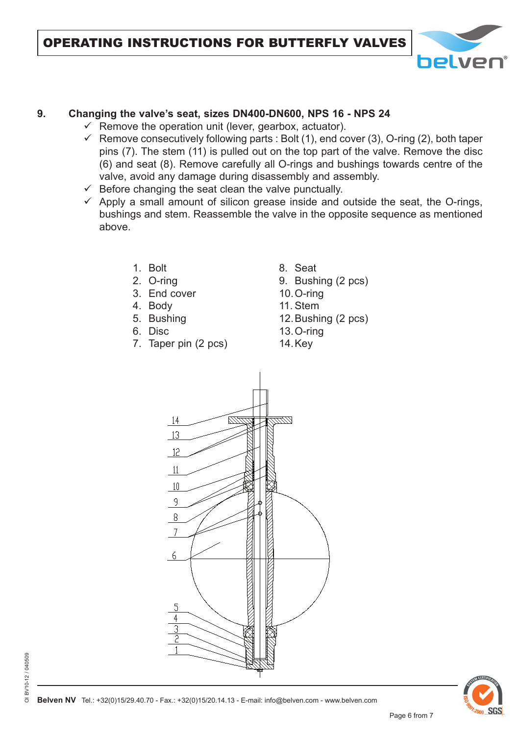

# **9. Changing the valve's seat, sizes DN400-DN600, NPS 16 - NPS 24**

- $\checkmark$  Remove the operation unit (lever, gearbox, actuator).
- $\checkmark$  Remove consecutively following parts : Bolt (1), end cover (3), O-ring (2), both taper pins (7). The stem (11) is pulled out on the top part of the valve. Remove the disc (6) and seat (8). Remove carefully all O-rings and bushings towards centre of the valve, avoid any damage during disassembly and assembly.
- $\checkmark$  Before changing the seat clean the valve punctually.
- $\checkmark$  Apply a small amount of silicon grease inside and outside the seat, the O-rings, bushings and stem. Reassemble the valve in the opposite sequence as mentioned above.
	- 1. Bolt
	- 2. O-ring
	- 3. End cover
	- 4. Body
	- 5. Bushing
	- 6. Disc
	- 7. Taper pin (2 pcs)

8. Seat

- 9. Bushing (2 pcs)
- 10. O-ring
- 11. Stem
- 12. Bushing (2 pcs) 13. O-ring 14. Key